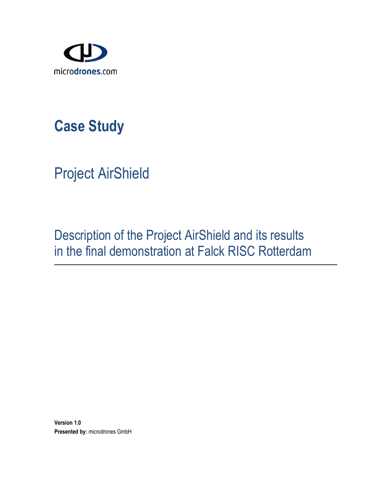

# **Case Study**

Project AirShield

Description of the Project AirShield and its results in the final demonstration at Falck RISC Rotterdam

**Version 1.0 Presented by:** microdrones GmbH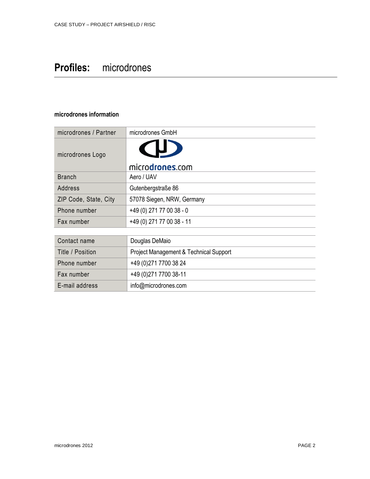# **Profiles:** microdrones

#### **microdrones information**

| microdrones / Partner | microdrones GmbH                       |  |
|-----------------------|----------------------------------------|--|
| microdrones Logo      | microdrones.com                        |  |
| <b>Branch</b>         | Aero / UAV                             |  |
| Address               | Gutenbergstraße 86                     |  |
| ZIP Code, State, City | 57078 Siegen, NRW, Germany             |  |
| Phone number          | +49 (0) 271 77 00 38 - 0               |  |
| Fax number            | +49 (0) 271 77 00 38 - 11              |  |
|                       |                                        |  |
| Contact name          | Douglas DeMaio                         |  |
| Title / Position      | Project Management & Technical Support |  |
| Phone number          | +49 (0) 271 7700 38 24                 |  |
| Fax number            | +49 (0) 271 7700 38-11                 |  |
| E-mail address        | info@microdrones.com                   |  |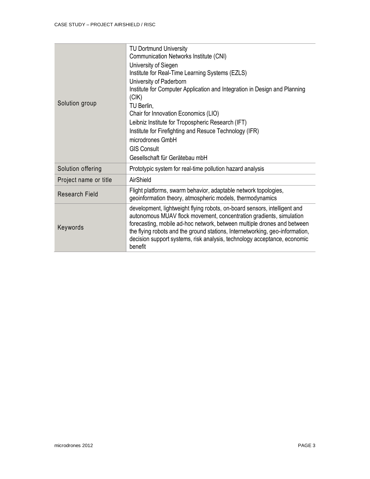| Solution group        | <b>TU Dortmund University</b><br>Communication Networks Institute (CNI)<br>University of Siegen<br>Institute for Real-Time Learning Systems (EZLS)<br>University of Paderborn<br>Institute for Computer Application and Integration in Design and Planning<br>(CIK)<br>TU Berlin,<br>Chair for Innovation Economics (LIO)<br>Leibniz Institute for Tropospheric Research (IFT)<br>Institute for Firefighting and Resuce Technology (IFR)<br>microdrones GmbH<br><b>GIS Consult</b><br>Gesellschaft für Gerätebau mbH |
|-----------------------|----------------------------------------------------------------------------------------------------------------------------------------------------------------------------------------------------------------------------------------------------------------------------------------------------------------------------------------------------------------------------------------------------------------------------------------------------------------------------------------------------------------------|
| Solution offering     | Prototypic system for real-time pollution hazard analysis                                                                                                                                                                                                                                                                                                                                                                                                                                                            |
| Project name or title | AirShield                                                                                                                                                                                                                                                                                                                                                                                                                                                                                                            |
| <b>Research Field</b> | Flight platforms, swarm behavior, adaptable network topologies,<br>geoinformation theory, atmospheric models, thermodynamics                                                                                                                                                                                                                                                                                                                                                                                         |
| Keywords              | development, lightweight flying robots, on-board sensors, intelligent and<br>autonomous MUAV flock movement, concentration gradients, simulation<br>forecasting, mobile ad-hoc network, between multiple drones and between<br>the flying robots and the ground stations, Internetworking, geo-information,<br>decision support systems, risk analysis, technology acceptance, economic<br>benefit                                                                                                                   |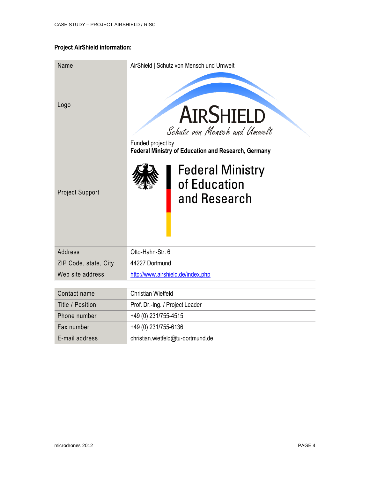#### **Project AirShield information:**

| Name                   | AirShield   Schutz von Mensch und Umwelt                                        |
|------------------------|---------------------------------------------------------------------------------|
| Logo                   | AIRSHIELD<br>Schutz von Mensch und Umwelt                                       |
|                        | Funded project by<br><b>Federal Ministry of Education and Research, Germany</b> |
| <b>Project Support</b> | <b>Federal Ministry</b><br>of Education<br>and Research                         |
| <b>Address</b>         | Otto-Hahn-Str. 6                                                                |
| ZIP Code, state, City  | 44227 Dortmund                                                                  |
| Web site address       | http://www.airshield.de/index.php                                               |
|                        |                                                                                 |
| Contact name           | <b>Christian Wietfeld</b>                                                       |
| Title / Position       | Prof. Dr.-Ing. / Project Leader                                                 |
| Phone number           | +49 (0) 231/755-4515                                                            |
| Fax number             | +49 (0) 231/755-6136                                                            |
| E-mail address         | christian.wietfeld@tu-dortmund.de                                               |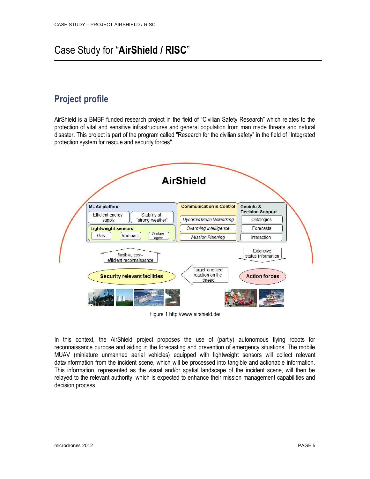# Case Study for "**AirShield / RISC**"

### **Project profile**

AirShield is a BMBF funded research project in the field of "Civilian Safety Research" which relates to the protection of vital and sensitive infrastructures and general population from man made threats and natural disaster. This project is part of the program called "Research for the civilian safety" in the field of "Integrated protection system for rescue and security forces".



Figure 1 http://www.airshield.de/

In this context, the AirShield project proposes the use of (partly) autonomous flying robots for reconnaissance purpose and aiding in the forecasting and prevention of emergency situations. The mobile MUAV (miniature unmanned aerial vehicles) equipped with lightweight sensors will collect relevant data/information from the incident scene, which will be processed into tangible and actionable information. This information, represented as the visual and/or spatial landscape of the incident scene, will then be relayed to the relevant authority, which is expected to enhance their mission management capabilities and decision process.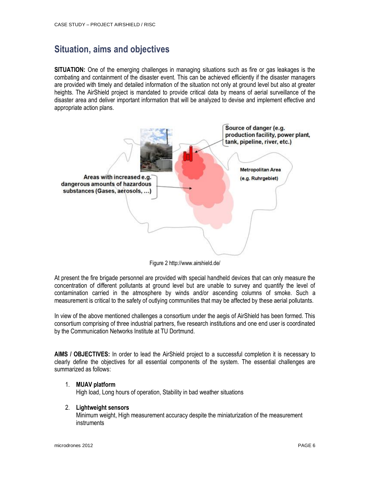### **Situation, aims and objectives**

**SITUATION:** One of the emerging challenges in managing situations such as fire or gas leakages is the combating and containment of the disaster event. This can be achieved efficiently if the disaster managers are provided with timely and detailed information of the situation not only at ground level but also at greater heights. The AirShield project is mandated to provide critical data by means of aerial surveillance of the disaster area and deliver important information that will be analyzed to devise and implement effective and appropriate action plans.



Figure 2 http://www.airshield.de/

At present the fire brigade personnel are provided with special handheld devices that can only measure the concentration of different pollutants at ground level but are unable to survey and quantify the level of contamination carried in the atmosphere by winds and/or ascending columns of smoke. Such a measurement is critical to the safety of outlying communities that may be affected by these aerial pollutants.

In view of the above mentioned challenges a consortium under the aegis of AirShield has been formed. This consortium comprising of three industrial partners, five research institutions and one end user is coordinated by the Communication Networks Institute at TU Dortmund.

**AIMS / OBJECTIVES:** In order to lead the AirShield project to a successful completion it is necessary to clearly define the objectives for all essential components of the system. The essential challenges are summarized as follows:

#### 1. **MUAV platform**

High load, Long hours of operation, Stability in bad weather situations

#### 2. **Lightweight sensors**

Minimum weight, High measurement accuracy despite the miniaturization of the measurement instruments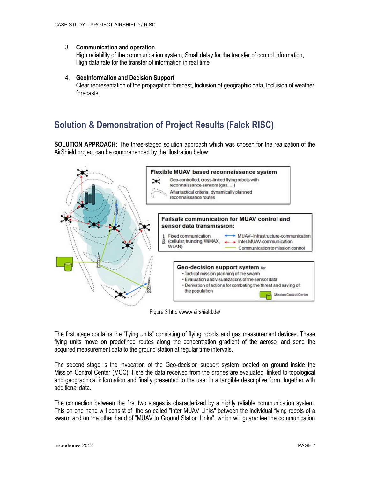#### 3. **Communication and operation**

High reliability of the communication system, Small delay for the transfer of control information, High data rate for the transfer of information in real time

#### 4. **Geoinformation and Decision Support**

Clear representation of the propagation forecast, Inclusion of geographic data, Inclusion of weather forecasts

### **Solution & Demonstration of Project Results (Falck RISC)**

**SOLUTION APPROACH:** The three-staged solution approach which was chosen for the realization of the AirShield project can be comprehended by the illustration below:



Figure 3 http://www.airshield.de/

The first stage contains the "flying units" consisting of flying robots and gas measurement devices. These flying units move on predefined routes along the concentration gradient of the aerosol and send the acquired measurement data to the ground station at regular time intervals.

The second stage is the invocation of the Geo-decision support system located on ground inside the Mission Control Center (MCC). Here the data received from the drones are evaluated, linked to topological and geographical information and finally presented to the user in a tangible descriptive form, together with additional data.

The connection between the first two stages is characterized by a highly reliable communication system. This on one hand will consist of the so called "Inter MUAV Links" between the individual flying robots of a swarm and on the other hand of "MUAV to Ground Station Links", which will guarantee the communication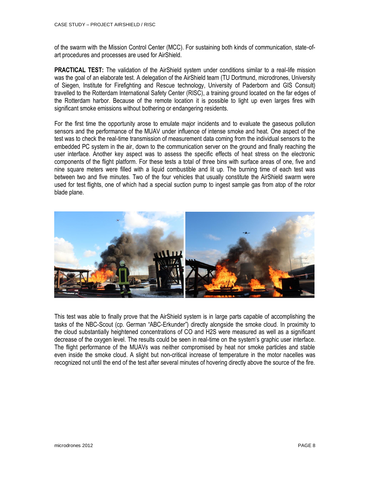of the swarm with the Mission Control Center (MCC). For sustaining both kinds of communication, state-ofart procedures and processes are used for AirShield.

**PRACTICAL TEST:** The validation of the AirShield system under conditions similar to a real-life mission was the goal of an elaborate test. A delegation of the AirShield team (TU Dortmund, microdrones, University of Siegen, Institute for Firefighting and Rescue technology, University of Paderborn and GIS Consult) travelled to the Rotterdam International Safety Center (RISC), a training ground located on the far edges of the Rotterdam harbor. Because of the remote location it is possible to light up even larges fires with significant smoke emissions without bothering or endangering residents.

For the first time the opportunity arose to emulate major incidents and to evaluate the gaseous pollution sensors and the performance of the MUAV under influence of intense smoke and heat. One aspect of the test was to check the real-time transmission of measurement data coming from the individual sensors to the embedded PC system in the air, down to the communication server on the ground and finally reaching the user interface. Another key aspect was to assess the specific effects of heat stress on the electronic components of the flight platform. For these tests a total of three bins with surface areas of one, five and nine square meters were filled with a liquid combustible and lit up. The burning time of each test was between two and five minutes. Two of the four vehicles that usually constitute the AirShield swarm were used for test flights, one of which had a special suction pump to ingest sample gas from atop of the rotor blade plane.



This test was able to finally prove that the AirShield system is in large parts capable of accomplishing the tasks of the NBC-Scout (cp. German "ABC-Erkunder") directly alongside the smoke cloud. In proximity to the cloud substantially heightened concentrations of CO and H2S were measured as well as a significant decrease of the oxygen level. The results could be seen in real-time on the system's graphic user interface. The flight performance of the MUAVs was neither compromised by heat nor smoke particles and stable even inside the smoke cloud. A slight but non-critical increase of temperature in the motor nacelles was recognized not until the end of the test after several minutes of hovering directly above the source of the fire.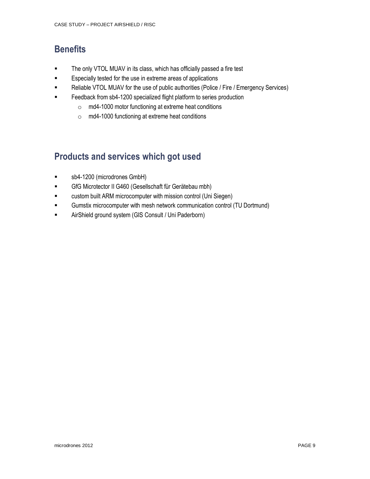# **Benefits**

- **The only VTOL MUAV in its class, which has officially passed a fire test**
- **Expecially tested for the use in extreme areas of applications**
- **Reliable VTOL MUAV for the use of public authorities (Police / Fire / Emergency Services)**
- **Feedback from sb4-1200 specialized flight platform to series production** 
	- o md4-1000 motor functioning at extreme heat conditions
	- o md4-1000 functioning at extreme heat conditions

## **Products and services which got used**

- sb4-1200 (microdrones GmbH)
- GfG Microtector II G460 (Gesellschaft für Gerätebau mbh)
- custom built ARM microcomputer with mission control (Uni Siegen)
- Gumstix microcomputer with mesh network communication control (TU Dortmund)
- AirShield ground system (GIS Consult / Uni Paderborn)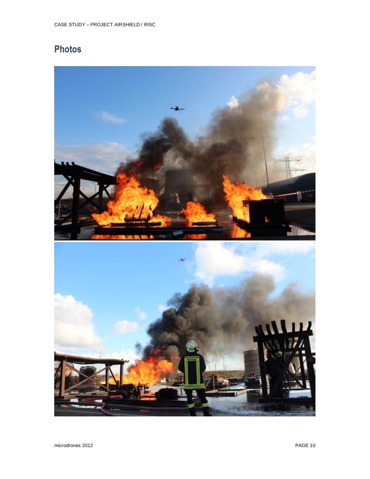# **Photos**